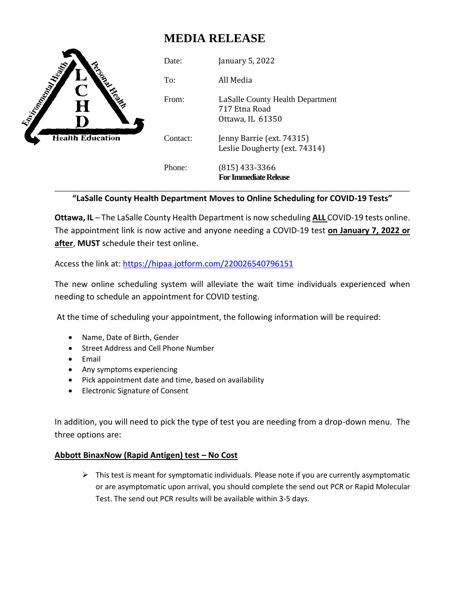# **MEDIA RELEASE**



### \_\_\_\_\_\_\_\_\_\_\_\_\_\_\_\_\_\_\_\_\_\_\_\_\_\_\_\_\_\_\_\_\_\_\_\_\_\_\_\_\_\_\_\_\_\_\_\_\_\_\_\_\_\_\_\_\_\_\_\_\_\_\_\_\_\_\_\_\_\_\_\_\_\_\_\_\_\_ **"LaSalle County Health Department Moves to Online Scheduling for COVID-19 Tests"**

**Ottawa, IL** – The LaSalle County Health Department is now scheduling **ALL** COVID-19 tests online. The appointment link is now active and anyone needing a COVID-19 test **on January 7, 2022 or after**, **MUST** schedule their test online.

Access the link at:<https://hipaa.jotform.com/220026540796151>

The new online scheduling system will alleviate the wait time individuals experienced when needing to schedule an appointment for COVID testing.

At the time of scheduling your appointment, the following information will be required:

- Name, Date of Birth, Gender
- Street Address and Cell Phone Number
- Email
- Any symptoms experiencing
- Pick appointment date and time, based on availability
- Electronic Signature of Consent

In addition, you will need to pick the type of test you are needing from a drop-down menu. The three options are:

### **Abbott BinaxNow (Rapid Antigen) test – No Cost**

 $\triangleright$  This test is meant for symptomatic individuals. Please note if you are currently asymptomatic or are asymptomatic upon arrival, you should complete the send out PCR or Rapid Molecular Test. The send out PCR results will be available within 3-5 days.